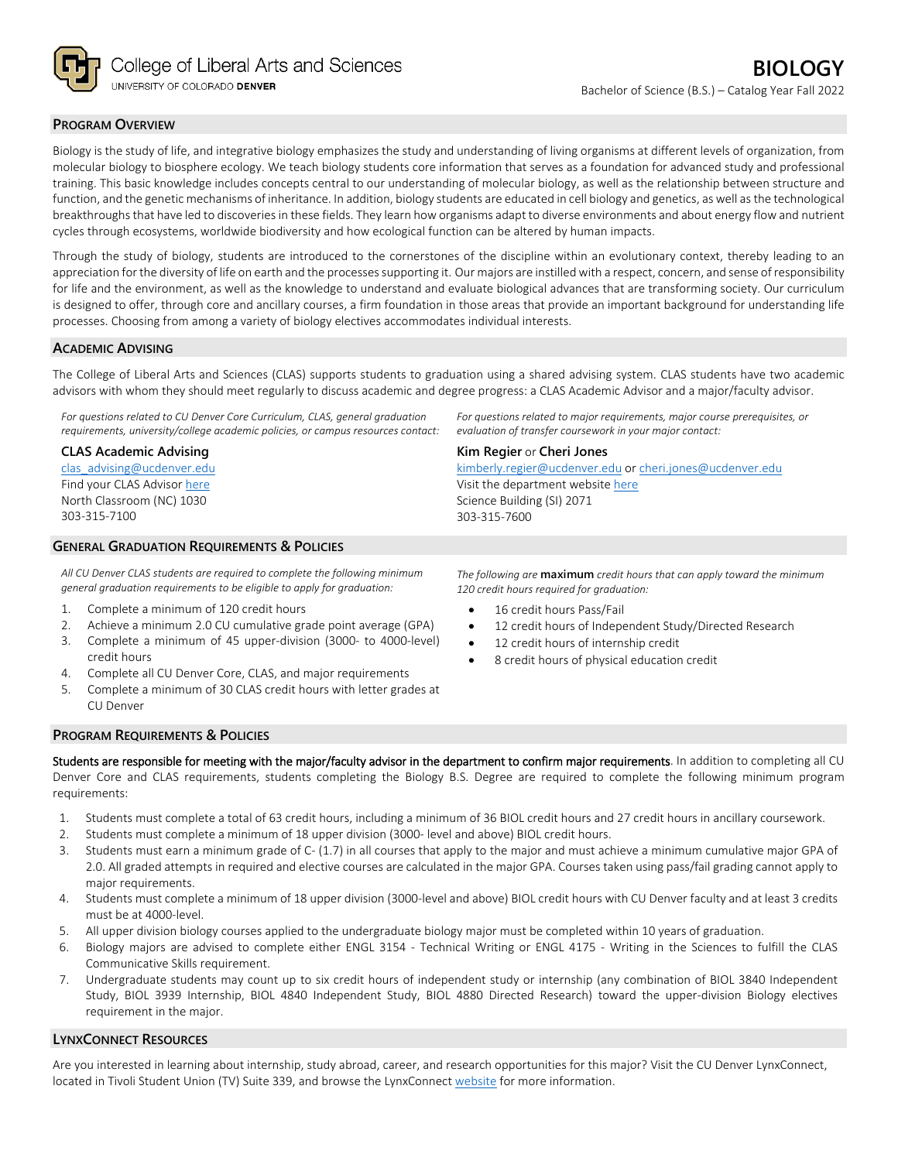

## **PROGRAM OVERVIEW**

Biology is the study of life, and integrative biology emphasizes the study and understanding of living organisms at different levels of organization, from molecular biology to biosphere ecology. We teach biology students core information that serves as a foundation for advanced study and professional training. This basic knowledge includes concepts central to our understanding of molecular biology, as well as the relationship between structure and function, and the genetic mechanisms of inheritance. In addition, biology students are educated in cell biology and genetics, as well as the technological breakthroughs that have led to discoveries in these fields. They learn how organisms adapt to diverse environments and about energy flow and nutrient cycles through ecosystems, worldwide biodiversity and how ecological function can be altered by human impacts.

Through the study of biology, students are introduced to the cornerstones of the discipline within an evolutionary context, thereby leading to an appreciation for the diversity of life on earth and the processes supporting it. Our majors are instilled with a respect, concern, and sense of responsibility for life and the environment, as well as the knowledge to understand and evaluate biological advances that are transforming society. Our curriculum is designed to offer, through core and ancillary courses, a firm foundation in those areas that provide an important background for understanding life processes. Choosing from among a variety of biology electives accommodates individual interests.

## **ACADEMIC ADVISING**

The College of Liberal Arts and Sciences (CLAS) supports students to graduation using a shared advising system. CLAS students have two academic advisors with whom they should meet regularly to discuss academic and degree progress: a CLAS Academic Advisor and a major/faculty advisor.

*For questions related to CU Denver Core Curriculum, CLAS, general graduation requirements, university/college academic policies, or campus resources contact:*

**CLAS Academic Advising**

[clas\\_advising@ucdenver.edu](mailto:clas_advising@ucdenver.edu) Find your CLAS Adviso[r here](https://clas.ucdenver.edu/advising/) North Classroom (NC) 1030 303-315-7100

## **GENERAL GRADUATION REQUIREMENTS & POLICIES**

*All CU Denver CLAS students are required to complete the following minimum general graduation requirements to be eligible to apply for graduation:*

- 1. Complete a minimum of 120 credit hours
- 2. Achieve a minimum 2.0 CU cumulative grade point average (GPA)
- 3. Complete a minimum of 45 upper-division (3000- to 4000-level) credit hours
- 4. Complete all CU Denver Core, CLAS, and major requirements
- 5. Complete a minimum of 30 CLAS credit hours with letter grades at CU Denver

*For questions related to major requirements, major course prerequisites, or evaluation of transfer coursework in your major contact:*

## **Kim Regier** or **Cheri Jones**

[kimberly.regier@ucdenver.edu](mailto:kimberly.regier@ucdenver.edu) or [cheri.jones@ucdenver.edu](mailto:cheri.jones@ucdenver.edu) Visit the department websit[e here](https://clas.ucdenver.edu/integrative-biology/academics/undergraduate-programs#advising-73) Science Building (SI) 2071 303-315-7600

*The following are* **maximum** *credit hours that can apply toward the minimum 120 credit hours required for graduation:*

- 16 credit hours Pass/Fail
- 12 credit hours of Independent Study/Directed Research
- 12 credit hours of internship credit
- 8 credit hours of physical education credit

#### **PROGRAM REQUIREMENTS & POLICIES**

Students are responsible for meeting with the major/faculty advisor in the department to confirm major requirements. In addition to completing all CU Denver Core and CLAS requirements, students completing the Biology B.S. Degree are required to complete the following minimum program requirements:

- 1. Students must complete a total of 63 credit hours, including a minimum of 36 BIOL credit hours and 27 credit hours in ancillary coursework.
- 2. Students must complete a minimum of 18 upper division (3000- level and above) BIOL credit hours.
- 3. Students must earn a minimum grade of C- (1.7) in all courses that apply to the major and must achieve a minimum cumulative major GPA of 2.0. All graded attempts in required and elective courses are calculated in the major GPA. Courses taken using pass/fail grading cannot apply to major requirements.
- 4. Students must complete a minimum of 18 upper division (3000-level and above) BIOL credit hours with CU Denver faculty and at least 3 credits must be at 4000-level.
- 5. All upper division biology courses applied to the undergraduate biology major must be completed within 10 years of graduation.
- 6. Biology majors are advised to complete either ENGL 3154 Technical Writing or ENGL 4175 Writing in the Sciences to fulfill the CLAS Communicative Skills requirement.
- 7. Undergraduate students may count up to six credit hours of independent study or internship (any combination of BIOL 3840 Independent Study, BIOL 3939 Internship, BIOL 4840 Independent Study, BIOL 4880 Directed Research) toward the upper-division Biology electives requirement in the major.

#### **LYNXCONNECT RESOURCES**

Are you interested in learning about internship, study abroad, career, and research opportunities for this major? Visit the CU Denver LynxConnect, located in Tivoli Student Union (TV) Suite 339, and browse the LynxConnec[t website](http://www.ucdenver.edu/lynxconnect/Pages/default.aspx) for more information.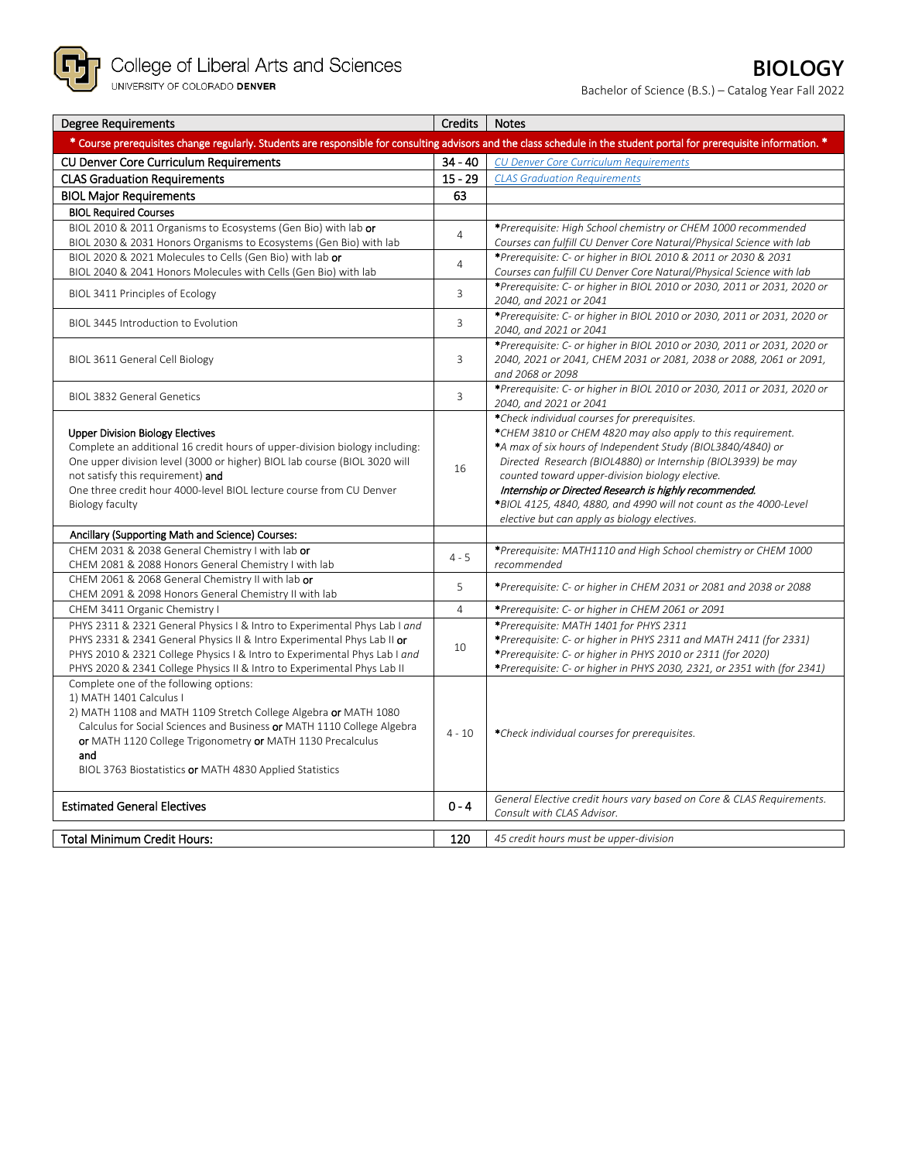

Bachelor of Science (B.S.) – Catalog Year Fall 2022

| <b>Degree Requirements</b>                                                                                                                                                                                                                                                                                                                     | <b>Credits</b> | <b>Notes</b>                                                                                                                                                                                                                                                                                                                                                                                                                                                                 |
|------------------------------------------------------------------------------------------------------------------------------------------------------------------------------------------------------------------------------------------------------------------------------------------------------------------------------------------------|----------------|------------------------------------------------------------------------------------------------------------------------------------------------------------------------------------------------------------------------------------------------------------------------------------------------------------------------------------------------------------------------------------------------------------------------------------------------------------------------------|
| * Course prerequisites change regularly. Students are responsible for consulting advisors and the class schedule in the student portal for prerequisite information. *                                                                                                                                                                         |                |                                                                                                                                                                                                                                                                                                                                                                                                                                                                              |
| <b>CU Denver Core Curriculum Requirements</b>                                                                                                                                                                                                                                                                                                  | $34 - 40$      | <b>CU Denver Core Curriculum Requirements</b>                                                                                                                                                                                                                                                                                                                                                                                                                                |
| <b>CLAS Graduation Requirements</b>                                                                                                                                                                                                                                                                                                            | $15 - 29$      | <b>CLAS Graduation Requirements</b>                                                                                                                                                                                                                                                                                                                                                                                                                                          |
| <b>BIOL Major Requirements</b>                                                                                                                                                                                                                                                                                                                 | 63             |                                                                                                                                                                                                                                                                                                                                                                                                                                                                              |
| <b>BIOL Required Courses</b>                                                                                                                                                                                                                                                                                                                   |                |                                                                                                                                                                                                                                                                                                                                                                                                                                                                              |
| BIOL 2010 & 2011 Organisms to Ecosystems (Gen Bio) with lab or                                                                                                                                                                                                                                                                                 | 4              | *Prerequisite: High School chemistry or CHEM 1000 recommended                                                                                                                                                                                                                                                                                                                                                                                                                |
| BIOL 2030 & 2031 Honors Organisms to Ecosystems (Gen Bio) with lab                                                                                                                                                                                                                                                                             |                | Courses can fulfill CU Denver Core Natural/Physical Science with lab                                                                                                                                                                                                                                                                                                                                                                                                         |
| BIOL 2020 & 2021 Molecules to Cells (Gen Bio) with lab or                                                                                                                                                                                                                                                                                      | $\overline{4}$ | *Prerequisite: C- or higher in BIOL 2010 & 2011 or 2030 & 2031                                                                                                                                                                                                                                                                                                                                                                                                               |
| BIOL 2040 & 2041 Honors Molecules with Cells (Gen Bio) with lab                                                                                                                                                                                                                                                                                |                | Courses can fulfill CU Denver Core Natural/Physical Science with lab                                                                                                                                                                                                                                                                                                                                                                                                         |
| BIOL 3411 Principles of Ecology                                                                                                                                                                                                                                                                                                                | 3              | *Prerequisite: C- or higher in BIOL 2010 or 2030, 2011 or 2031, 2020 or<br>2040, and 2021 or 2041                                                                                                                                                                                                                                                                                                                                                                            |
| BIOL 3445 Introduction to Evolution                                                                                                                                                                                                                                                                                                            | 3              | *Prerequisite: C- or higher in BIOL 2010 or 2030, 2011 or 2031, 2020 or<br>2040, and 2021 or 2041                                                                                                                                                                                                                                                                                                                                                                            |
| BIOL 3611 General Cell Biology                                                                                                                                                                                                                                                                                                                 | 3              | *Prerequisite: C- or higher in BIOL 2010 or 2030, 2011 or 2031, 2020 or<br>2040, 2021 or 2041, CHEM 2031 or 2081, 2038 or 2088, 2061 or 2091,<br>and 2068 or 2098                                                                                                                                                                                                                                                                                                            |
| <b>BIOL 3832 General Genetics</b>                                                                                                                                                                                                                                                                                                              | 3              | *Prerequisite: C- or higher in BIOL 2010 or 2030, 2011 or 2031, 2020 or<br>2040, and 2021 or 2041                                                                                                                                                                                                                                                                                                                                                                            |
| <b>Upper Division Biology Electives</b><br>Complete an additional 16 credit hours of upper-division biology including:<br>One upper division level (3000 or higher) BIOL lab course (BIOL 3020 will<br>not satisfy this requirement) and<br>One three credit hour 4000-level BIOL lecture course from CU Denver<br>Biology faculty             | 16             | *Check individual courses for prerequisites.<br>*CHEM 3810 or CHEM 4820 may also apply to this requirement.<br>*A max of six hours of Independent Study (BIOL3840/4840) or<br>Directed Research (BIOL4880) or Internship (BIOL3939) be may<br>counted toward upper-division biology elective.<br>Internship or Directed Research is highly recommended.<br>*BIOL 4125, 4840, 4880, and 4990 will not count as the 4000-Level<br>elective but can apply as biology electives. |
| Ancillary (Supporting Math and Science) Courses:                                                                                                                                                                                                                                                                                               |                |                                                                                                                                                                                                                                                                                                                                                                                                                                                                              |
| CHEM 2031 & 2038 General Chemistry I with lab or<br>CHEM 2081 & 2088 Honors General Chemistry I with lab                                                                                                                                                                                                                                       | $4 - 5$        | *Prerequisite: MATH1110 and High School chemistry or CHEM 1000<br>recommended                                                                                                                                                                                                                                                                                                                                                                                                |
| CHEM 2061 & 2068 General Chemistry II with lab or<br>CHEM 2091 & 2098 Honors General Chemistry II with lab                                                                                                                                                                                                                                     | 5              | *Prerequisite: C- or higher in CHEM 2031 or 2081 and 2038 or 2088                                                                                                                                                                                                                                                                                                                                                                                                            |
| CHEM 3411 Organic Chemistry I                                                                                                                                                                                                                                                                                                                  | $\overline{4}$ | *Prerequisite: C- or higher in CHEM 2061 or 2091                                                                                                                                                                                                                                                                                                                                                                                                                             |
| PHYS 2311 & 2321 General Physics I & Intro to Experimental Phys Lab I and<br>PHYS 2331 & 2341 General Physics II & Intro Experimental Phys Lab II or<br>PHYS 2010 & 2321 College Physics I & Intro to Experimental Phys Lab I and<br>PHYS 2020 & 2341 College Physics II & Intro to Experimental Phys Lab II                                   | 10             | *Prerequisite: MATH 1401 for PHYS 2311<br>*Prerequisite: C- or higher in PHYS 2311 and MATH 2411 (for 2331)<br>*Prerequisite: C- or higher in PHYS 2010 or 2311 (for 2020)<br>*Prerequisite: C- or higher in PHYS 2030, 2321, or 2351 with (for 2341)                                                                                                                                                                                                                        |
| Complete one of the following options:<br>1) MATH 1401 Calculus I<br>2) MATH 1108 and MATH 1109 Stretch College Algebra or MATH 1080<br>Calculus for Social Sciences and Business or MATH 1110 College Algebra<br>or MATH 1120 College Trigonometry or MATH 1130 Precalculus<br>and<br>BIOL 3763 Biostatistics or MATH 4830 Applied Statistics | $4 - 10$       | *Check individual courses for prerequisites.                                                                                                                                                                                                                                                                                                                                                                                                                                 |
| <b>Estimated General Electives</b>                                                                                                                                                                                                                                                                                                             | $0 - 4$        | General Elective credit hours vary based on Core & CLAS Requirements.<br>Consult with CLAS Advisor.                                                                                                                                                                                                                                                                                                                                                                          |
| <b>Total Minimum Credit Hours:</b>                                                                                                                                                                                                                                                                                                             | 120            | 45 credit hours must be upper-division                                                                                                                                                                                                                                                                                                                                                                                                                                       |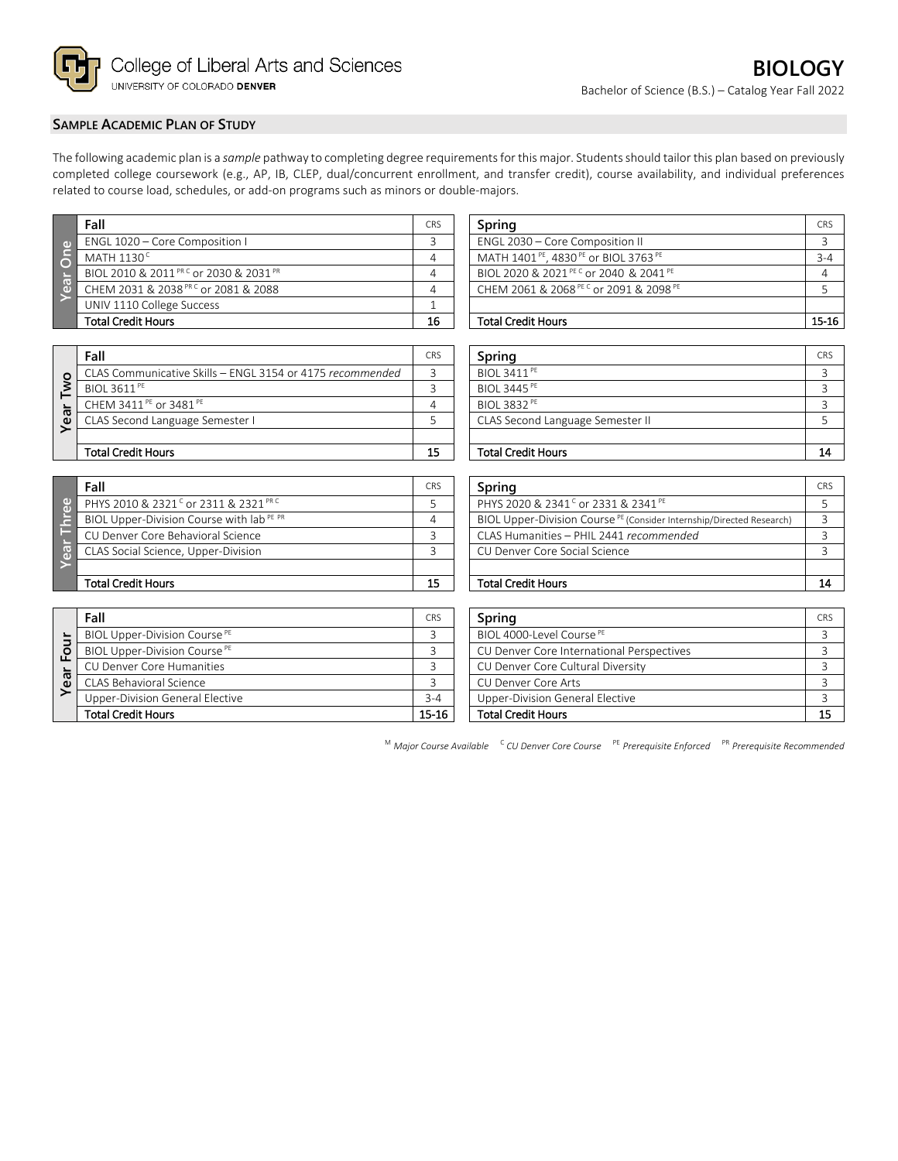

# **SAMPLE ACADEMIC PLAN OF STUDY**

The following academic plan is a *sample* pathway to completing degree requirements for this major. Students should tailor this plan based on previously completed college coursework (e.g., AP, IB, CLEP, dual/concurrent enrollment, and transfer credit), course availability, and individual preferences related to course load, schedules, or add-on programs such as minors or double-majors.

|            | Fall                                                          | CRS | Spring                                                                  | <b>CRS</b> |
|------------|---------------------------------------------------------------|-----|-------------------------------------------------------------------------|------------|
| ு          | ENGL 1020 - Core Composition I                                |     | ENGL 2030 - Core Composition II                                         |            |
| <u> ခြ</u> | MATH $1130^{\circ}$                                           |     | MATH 1401 <sup>PE</sup> , 4830 <sup>PE</sup> or BIOL 3763 <sup>PE</sup> | $3 - 4$    |
|            | BIOL 2010 & 2011 <sup>PR C</sup> or 2030 & 2031 <sup>PR</sup> |     | BIOL 2020 & 2021 PEC or 2040 & 2041 PE                                  |            |
| 8          | CHEM 2031 & 2038 <sup>PRC</sup> or 2081 & 2088                |     | CHEM 2061 & 2068 PEC or 2091 & 2098 PE                                  |            |
|            | UNIV 1110 College Success                                     |     |                                                                         |            |
|            | <b>Total Credit Hours</b>                                     | 16  | <b>Total Credit Hours</b>                                               | 15-16      |

| Spring                                                                  | <b>CRS</b> |
|-------------------------------------------------------------------------|------------|
| ENGL 2030 - Core Composition II                                         |            |
| MATH 1401 <sup>PE</sup> , 4830 <sup>PE</sup> or BIOL 3763 <sup>PE</sup> | $3 - 4$    |
| BIOL 2020 & 2021 PEC or 2040 & 2041 PE                                  |            |
| CHEM 2061 & 2068 PEC or 2091 & 2098 PE                                  |            |
|                                                                         |            |
| Total Credit Hours                                                      |            |

|         | Fall                                                      | <b>CRS</b> | Spring                           | <b>CRS</b> |
|---------|-----------------------------------------------------------|------------|----------------------------------|------------|
| $\circ$ | CLAS Communicative Skills - ENGL 3154 or 4175 recommended |            | BIOL 3411 <sup>PE</sup>          |            |
|         | <b>BIOL 3611<sup>PE</sup></b>                             |            | <b>BIOL 3445<sup>PE</sup></b>    |            |
|         | CHEM 3411 PE or 3481 PE                                   |            | BIOL 3832 <sup>PE</sup>          |            |
| æ.<br>Φ | CLAS Second Language Semester I                           |            | CLAS Second Language Semester II |            |
|         |                                                           |            |                                  |            |
|         | <b>Total Credit Hours</b>                                 | 15         | <b>Total Credit Hours</b>        | 14         |

|   | Fall                                                        | CRS | Spring                                                                           | <b>CRS</b> |
|---|-------------------------------------------------------------|-----|----------------------------------------------------------------------------------|------------|
| Φ | PHYS 2010 & 2321 <sup>c</sup> or 2311 & 2321 <sup>PRC</sup> |     | PHYS 2020 & 2341 <sup>c</sup> or 2331 & 2341 <sup>PE</sup>                       |            |
|   | BIOL Upper-Division Course with lab <sup>PE PR</sup>        | 4   | BIOL Upper-Division Course <sup>PE</sup> (Consider Internship/Directed Research) |            |
|   | CU Denver Core Behavioral Science                           |     | CLAS Humanities - PHIL 2441 recommended                                          |            |
|   | CLAS Social Science, Upper-Division                         |     | CU Denver Core Social Science                                                    |            |
|   |                                                             |     |                                                                                  |            |
|   | <b>Total Credit Hours</b>                                   | 15  | <b>Total Credit Hours</b>                                                        | 14         |

|                | Fall                                     | <b>CRS</b> | <b>Spring</b>                             | <b>CRS</b> |
|----------------|------------------------------------------|------------|-------------------------------------------|------------|
| $\overline{a}$ | BIOL Upper-Division Course <sup>PE</sup> |            | BIOL 4000-Level Course <sup>PE</sup>      |            |
| ō<br>LĒ        | BIOL Upper-Division Course <sup>PE</sup> |            | CU Denver Core International Perspectives |            |
|                | CU Denver Core Humanities                |            | CU Denver Core Cultural Diversity         |            |
| ී              | CLAS Behavioral Science                  |            | CU Denver Core Arts                       |            |
|                | Upper-Division General Elective          | $3 - 4$    | Upper-Division General Elective           |            |
|                | <b>Total Credit Hours</b>                | 15-16      | <b>Total Credit Hours</b>                 | -15        |

| Spring                           | <b>CRS</b> |
|----------------------------------|------------|
| <b>BIOL 3411<sup>PE</sup></b>    |            |
| <b>BIOL 3445<sup>PE</sup></b>    |            |
| <b>BIOL 3832 PE</b>              |            |
| CLAS Second Language Semester II |            |
|                                  |            |
| Tatal Cradit Hause               | <b>14</b>  |

| Fall                                                 | <b>CRS</b> | Spring                                                                           | <b>CRS</b> |
|------------------------------------------------------|------------|----------------------------------------------------------------------------------|------------|
| PHYS 2010 & 2321 <sup>c</sup> or 2311 & 2321 PRC     |            | PHYS 2020 & 2341 <sup>c</sup> or 2331 & 2341 <sup>PE</sup>                       |            |
| BIOL Upper-Division Course with lab <sup>PE PR</sup> |            | BIOL Upper-Division Course <sup>PE</sup> (Consider Internship/Directed Research) |            |
| CU Denver Core Behavioral Science                    |            | CLAS Humanities - PHIL 2441 recommended                                          |            |
| CLAS Social Science, Upper-Division                  |            | CU Denver Core Social Science                                                    |            |
|                                                      |            |                                                                                  |            |
| Total Credit Hours                                   | 15         | <b>Total Credit Hours</b>                                                        | 14         |

| Fall                                     | <b>CRS</b> | Spring                                    | CRS |
|------------------------------------------|------------|-------------------------------------------|-----|
| BIOL Upper-Division Course <sup>PE</sup> |            | BIOL 4000-Level Course <sup>PE</sup>      |     |
| BIOL Upper-Division Course <sup>PE</sup> |            | CU Denver Core International Perspectives |     |
| CU Denver Core Humanities                |            | CU Denver Core Cultural Diversity         |     |
| CLAS Behavioral Science                  |            | CU Denver Core Arts                       |     |
| <b>Upper-Division General Elective</b>   | $3 - 4$    | Upper-Division General Elective           |     |
| Total Credit Hours                       | 15-16      | <b>Total Credit Hours</b>                 |     |

<sup>M</sup> *Major Course Available* <sup>C</sup> *CU Denver Core Course* PE *Prerequisite Enforced* PR *Prerequisite Recommended*